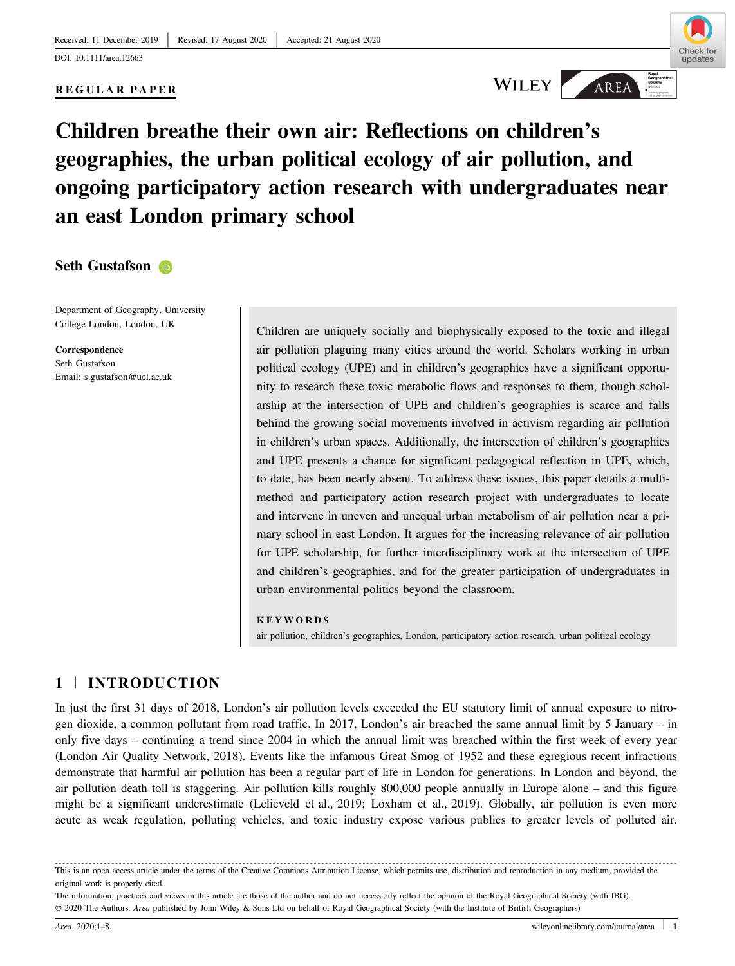

#### REGULAR PAPER



# Children breathe their own air: Reflections on children's geographies, the urban political ecology of air pollution, and ongoing participatory action research with undergraduates near an east London primary school

# Seth Gustafso[n](https://orcid.org/0000-0002-8326-0291) **D**

Department of Geography, University College London, London, UK

**Correspondence** Seth Gustafson Email: [s.gustafson@ucl.ac.uk](mailto:) Children are uniquely socially and biophysically exposed to the toxic and illegal air pollution plaguing many cities around the world. Scholars working in urban political ecology (UPE) and in children's geographies have a significant opportunity to research these toxic metabolic flows and responses to them, though scholarship at the intersection of UPE and children's geographies is scarce and falls behind the growing social movements involved in activism regarding air pollution in children's urban spaces. Additionally, the intersection of children's geographies and UPE presents a chance for significant pedagogical reflection in UPE, which, to date, has been nearly absent. To address these issues, this paper details a multimethod and participatory action research project with undergraduates to locate and intervene in uneven and unequal urban metabolism of air pollution near a primary school in east London. It argues for the increasing relevance of air pollution for UPE scholarship, for further interdisciplinary work at the intersection of UPE and children's geographies, and for the greater participation of undergraduates in urban environmental politics beyond the classroom.

#### **KEYWORDS**

air pollution, children's geographies, London, participatory action research, urban political ecology

# 1 | INTRODUCTION

In just the first 31 days of 2018, London's air pollution levels exceeded the EU statutory limit of annual exposure to nitrogen dioxide, a common pollutant from road traffic. In 2017, London's air breached the same annual limit by 5 January – in only five days – continuing a trend since 2004 in which the annual limit was breached within the first week of every year (London Air Quality Network, 2018). Events like the infamous Great Smog of 1952 and these egregious recent infractions demonstrate that harmful air pollution has been a regular part of life in London for generations. In London and beyond, the air pollution death toll is staggering. Air pollution kills roughly 800,000 people annually in Europe alone – and this figure might be a significant underestimate (Lelieveld et al., 2019; Loxham et al., 2019). Globally, air pollution is even more acute as weak regulation, polluting vehicles, and toxic industry expose various publics to greater levels of polluted air.

This is an open access article under the terms of the [Creative Commons Attribution](http://creativecommons.org/licenses/by/4.0/) License, which permits use, distribution and reproduction in any medium, provided the original work is properly cited.

The information, practices and views in this article are those of the author and do not necessarily reflect the opinion of the Royal Geographical Society (with IBG). © 2020 The Authors. Area published by John Wiley & Sons Ltd on behalf of Royal Geographical Society (with the Institute of British Geographers)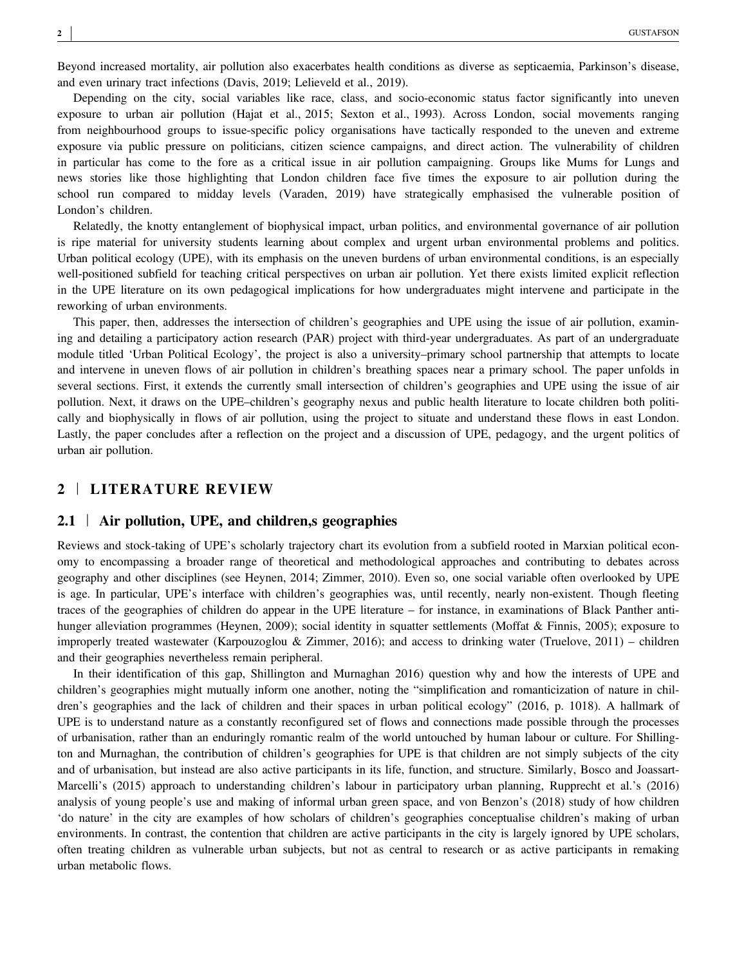Beyond increased mortality, air pollution also exacerbates health conditions as diverse as septicaemia, Parkinson's disease, and even urinary tract infections (Davis, 2019; Lelieveld et al., 2019).

Depending on the city, social variables like race, class, and socio-economic status factor significantly into uneven exposure to urban air pollution (Hajat et al., 2015; Sexton et al., 1993). Across London, social movements ranging from neighbourhood groups to issue‐specific policy organisations have tactically responded to the uneven and extreme exposure via public pressure on politicians, citizen science campaigns, and direct action. The vulnerability of children in particular has come to the fore as a critical issue in air pollution campaigning. Groups like Mums for Lungs and news stories like those highlighting that London children face five times the exposure to air pollution during the school run compared to midday levels (Varaden, 2019) have strategically emphasised the vulnerable position of London's children.

Relatedly, the knotty entanglement of biophysical impact, urban politics, and environmental governance of air pollution is ripe material for university students learning about complex and urgent urban environmental problems and politics. Urban political ecology (UPE), with its emphasis on the uneven burdens of urban environmental conditions, is an especially well-positioned subfield for teaching critical perspectives on urban air pollution. Yet there exists limited explicit reflection in the UPE literature on its own pedagogical implications for how undergraduates might intervene and participate in the reworking of urban environments.

This paper, then, addresses the intersection of children's geographies and UPE using the issue of air pollution, examining and detailing a participatory action research (PAR) project with third-year undergraduates. As part of an undergraduate module titled 'Urban Political Ecology', the project is also a university–primary school partnership that attempts to locate and intervene in uneven flows of air pollution in children's breathing spaces near a primary school. The paper unfolds in several sections. First, it extends the currently small intersection of children's geographies and UPE using the issue of air pollution. Next, it draws on the UPE–children's geography nexus and public health literature to locate children both politically and biophysically in flows of air pollution, using the project to situate and understand these flows in east London. Lastly, the paper concludes after a reflection on the project and a discussion of UPE, pedagogy, and the urgent politics of urban air pollution.

#### 2 | LITERATURE REVIEW

#### 2.1 | Air pollution, UPE, and children,s geographies

Reviews and stock-taking of UPE's scholarly trajectory chart its evolution from a subfield rooted in Marxian political economy to encompassing a broader range of theoretical and methodological approaches and contributing to debates across geography and other disciplines (see Heynen, 2014; Zimmer, 2010). Even so, one social variable often overlooked by UPE is age. In particular, UPE's interface with children's geographies was, until recently, nearly non‐existent. Though fleeting traces of the geographies of children do appear in the UPE literature – for instance, in examinations of Black Panther antihunger alleviation programmes (Heynen, 2009); social identity in squatter settlements (Moffat & Finnis, 2005); exposure to improperly treated wastewater (Karpouzoglou & Zimmer, 2016); and access to drinking water (Truelove, 2011) – children and their geographies nevertheless remain peripheral.

In their identification of this gap, Shillington and Murnaghan 2016) question why and how the interests of UPE and children's geographies might mutually inform one another, noting the "simplification and romanticization of nature in children's geographies and the lack of children and their spaces in urban political ecology" (2016, p. 1018). A hallmark of UPE is to understand nature as a constantly reconfigured set of flows and connections made possible through the processes of urbanisation, rather than an enduringly romantic realm of the world untouched by human labour or culture. For Shillington and Murnaghan, the contribution of children's geographies for UPE is that children are not simply subjects of the city and of urbanisation, but instead are also active participants in its life, function, and structure. Similarly, Bosco and Joassart-Marcelli's (2015) approach to understanding children's labour in participatory urban planning, Rupprecht et al.'s (2016) analysis of young people's use and making of informal urban green space, and von Benzon's (2018) study of how children 'do nature' in the city are examples of how scholars of children's geographies conceptualise children's making of urban environments. In contrast, the contention that children are active participants in the city is largely ignored by UPE scholars, often treating children as vulnerable urban subjects, but not as central to research or as active participants in remaking urban metabolic flows.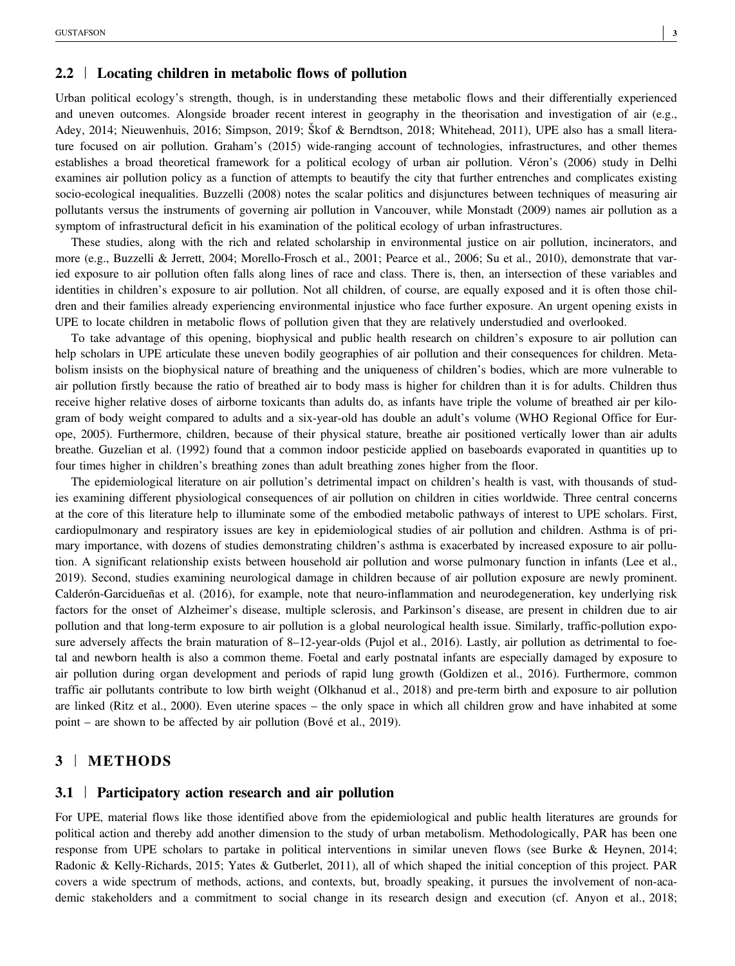### 2.2 | Locating children in metabolic flows of pollution

Urban political ecology's strength, though, is in understanding these metabolic flows and their differentially experienced and uneven outcomes. Alongside broader recent interest in geography in the theorisation and investigation of air (e.g., Adey, 2014; Nieuwenhuis, 2016; Simpson, 2019; Škof & Berndtson, 2018; Whitehead, 2011), UPE also has a small literature focused on air pollution. Graham's (2015) wide-ranging account of technologies, infrastructures, and other themes establishes a broad theoretical framework for a political ecology of urban air pollution. Véron's (2006) study in Delhi examines air pollution policy as a function of attempts to beautify the city that further entrenches and complicates existing socio-ecological inequalities. Buzzelli (2008) notes the scalar politics and disjunctures between techniques of measuring air pollutants versus the instruments of governing air pollution in Vancouver, while Monstadt (2009) names air pollution as a symptom of infrastructural deficit in his examination of the political ecology of urban infrastructures.

These studies, along with the rich and related scholarship in environmental justice on air pollution, incinerators, and more (e.g., Buzzelli & Jerrett, 2004; Morello‐Frosch et al., 2001; Pearce et al., 2006; Su et al., 2010), demonstrate that varied exposure to air pollution often falls along lines of race and class. There is, then, an intersection of these variables and identities in children's exposure to air pollution. Not all children, of course, are equally exposed and it is often those children and their families already experiencing environmental injustice who face further exposure. An urgent opening exists in UPE to locate children in metabolic flows of pollution given that they are relatively understudied and overlooked.

To take advantage of this opening, biophysical and public health research on children's exposure to air pollution can help scholars in UPE articulate these uneven bodily geographies of air pollution and their consequences for children. Metabolism insists on the biophysical nature of breathing and the uniqueness of children's bodies, which are more vulnerable to air pollution firstly because the ratio of breathed air to body mass is higher for children than it is for adults. Children thus receive higher relative doses of airborne toxicants than adults do, as infants have triple the volume of breathed air per kilogram of body weight compared to adults and a six‐year‐old has double an adult's volume (WHO Regional Office for Europe, 2005). Furthermore, children, because of their physical stature, breathe air positioned vertically lower than air adults breathe. Guzelian et al. (1992) found that a common indoor pesticide applied on baseboards evaporated in quantities up to four times higher in children's breathing zones than adult breathing zones higher from the floor.

The epidemiological literature on air pollution's detrimental impact on children's health is vast, with thousands of studies examining different physiological consequences of air pollution on children in cities worldwide. Three central concerns at the core of this literature help to illuminate some of the embodied metabolic pathways of interest to UPE scholars. First, cardiopulmonary and respiratory issues are key in epidemiological studies of air pollution and children. Asthma is of primary importance, with dozens of studies demonstrating children's asthma is exacerbated by increased exposure to air pollution. A significant relationship exists between household air pollution and worse pulmonary function in infants (Lee et al., 2019). Second, studies examining neurological damage in children because of air pollution exposure are newly prominent. Calderón-Garcidueñas et al. (2016), for example, note that neuro-inflammation and neurodegeneration, key underlying risk factors for the onset of Alzheimer's disease, multiple sclerosis, and Parkinson's disease, are present in children due to air pollution and that long‐term exposure to air pollution is a global neurological health issue. Similarly, traffic‐pollution exposure adversely affects the brain maturation of 8–12-year-olds (Pujol et al., 2016). Lastly, air pollution as detrimental to foetal and newborn health is also a common theme. Foetal and early postnatal infants are especially damaged by exposure to air pollution during organ development and periods of rapid lung growth (Goldizen et al., 2016). Furthermore, common traffic air pollutants contribute to low birth weight (Olkhanud et al., 2018) and pre‐term birth and exposure to air pollution are linked (Ritz et al., 2000). Even uterine spaces – the only space in which all children grow and have inhabited at some point – are shown to be affected by air pollution (Bové et al., 2019).

# 3 | METHODS

#### 3.1 | Participatory action research and air pollution

For UPE, material flows like those identified above from the epidemiological and public health literatures are grounds for political action and thereby add another dimension to the study of urban metabolism. Methodologically, PAR has been one response from UPE scholars to partake in political interventions in similar uneven flows (see Burke & Heynen, 2014; Radonic & Kelly‐Richards, 2015; Yates & Gutberlet, 2011), all of which shaped the initial conception of this project. PAR covers a wide spectrum of methods, actions, and contexts, but, broadly speaking, it pursues the involvement of non-academic stakeholders and a commitment to social change in its research design and execution (cf. Anyon et al., 2018;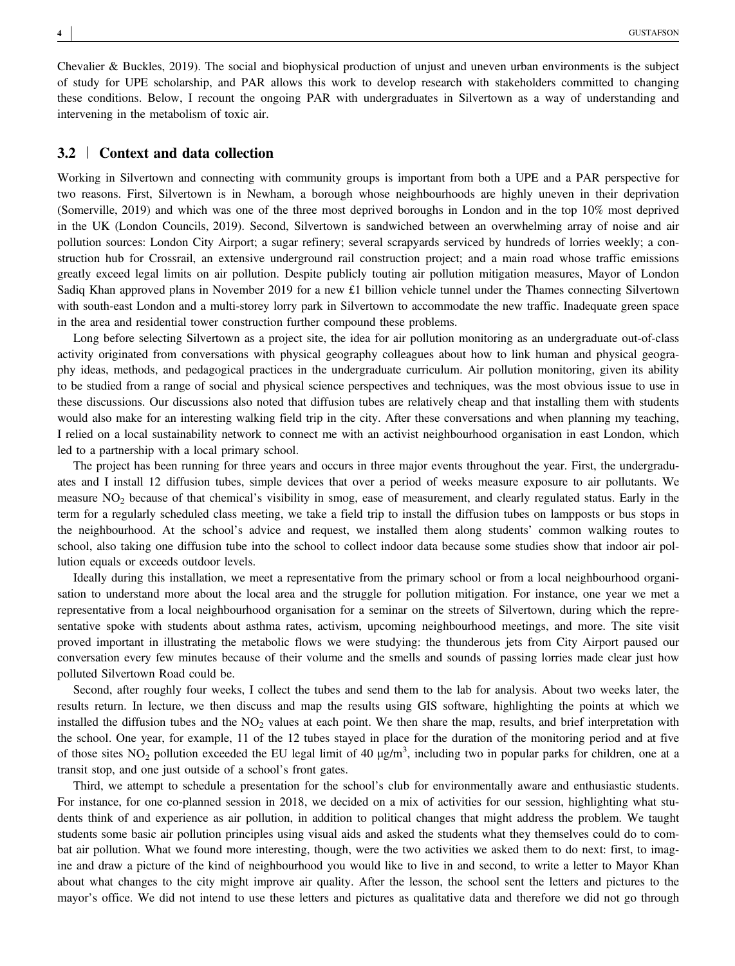Chevalier & Buckles, 2019). The social and biophysical production of unjust and uneven urban environments is the subject of study for UPE scholarship, and PAR allows this work to develop research with stakeholders committed to changing these conditions. Below, I recount the ongoing PAR with undergraduates in Silvertown as a way of understanding and intervening in the metabolism of toxic air.

#### 3.2 | Context and data collection

Working in Silvertown and connecting with community groups is important from both a UPE and a PAR perspective for two reasons. First, Silvertown is in Newham, a borough whose neighbourhoods are highly uneven in their deprivation (Somerville, 2019) and which was one of the three most deprived boroughs in London and in the top 10% most deprived in the UK (London Councils, 2019). Second, Silvertown is sandwiched between an overwhelming array of noise and air pollution sources: London City Airport; a sugar refinery; several scrapyards serviced by hundreds of lorries weekly; a construction hub for Crossrail, an extensive underground rail construction project; and a main road whose traffic emissions greatly exceed legal limits on air pollution. Despite publicly touting air pollution mitigation measures, Mayor of London Sadiq Khan approved plans in November 2019 for a new £1 billion vehicle tunnel under the Thames connecting Silvertown with south-east London and a multi-storey lorry park in Silvertown to accommodate the new traffic. Inadequate green space in the area and residential tower construction further compound these problems.

Long before selecting Silvertown as a project site, the idea for air pollution monitoring as an undergraduate out-of-class activity originated from conversations with physical geography colleagues about how to link human and physical geography ideas, methods, and pedagogical practices in the undergraduate curriculum. Air pollution monitoring, given its ability to be studied from a range of social and physical science perspectives and techniques, was the most obvious issue to use in these discussions. Our discussions also noted that diffusion tubes are relatively cheap and that installing them with students would also make for an interesting walking field trip in the city. After these conversations and when planning my teaching, I relied on a local sustainability network to connect me with an activist neighbourhood organisation in east London, which led to a partnership with a local primary school.

The project has been running for three years and occurs in three major events throughout the year. First, the undergraduates and I install 12 diffusion tubes, simple devices that over a period of weeks measure exposure to air pollutants. We measure  $NO<sub>2</sub>$  because of that chemical's visibility in smog, ease of measurement, and clearly regulated status. Early in the term for a regularly scheduled class meeting, we take a field trip to install the diffusion tubes on lampposts or bus stops in the neighbourhood. At the school's advice and request, we installed them along students' common walking routes to school, also taking one diffusion tube into the school to collect indoor data because some studies show that indoor air pollution equals or exceeds outdoor levels.

Ideally during this installation, we meet a representative from the primary school or from a local neighbourhood organisation to understand more about the local area and the struggle for pollution mitigation. For instance, one year we met a representative from a local neighbourhood organisation for a seminar on the streets of Silvertown, during which the representative spoke with students about asthma rates, activism, upcoming neighbourhood meetings, and more. The site visit proved important in illustrating the metabolic flows we were studying: the thunderous jets from City Airport paused our conversation every few minutes because of their volume and the smells and sounds of passing lorries made clear just how polluted Silvertown Road could be.

Second, after roughly four weeks, I collect the tubes and send them to the lab for analysis. About two weeks later, the results return. In lecture, we then discuss and map the results using GIS software, highlighting the points at which we installed the diffusion tubes and the  $NO<sub>2</sub>$  values at each point. We then share the map, results, and brief interpretation with the school. One year, for example, 11 of the 12 tubes stayed in place for the duration of the monitoring period and at five of those sites  $NO_2$  pollution exceeded the EU legal limit of 40  $\mu$ g/m<sup>3</sup>, including two in popular parks for children, one at a transit stop, and one just outside of a school's front gates.

Third, we attempt to schedule a presentation for the school's club for environmentally aware and enthusiastic students. For instance, for one co-planned session in 2018, we decided on a mix of activities for our session, highlighting what students think of and experience as air pollution, in addition to political changes that might address the problem. We taught students some basic air pollution principles using visual aids and asked the students what they themselves could do to combat air pollution. What we found more interesting, though, were the two activities we asked them to do next: first, to imagine and draw a picture of the kind of neighbourhood you would like to live in and second, to write a letter to Mayor Khan about what changes to the city might improve air quality. After the lesson, the school sent the letters and pictures to the mayor's office. We did not intend to use these letters and pictures as qualitative data and therefore we did not go through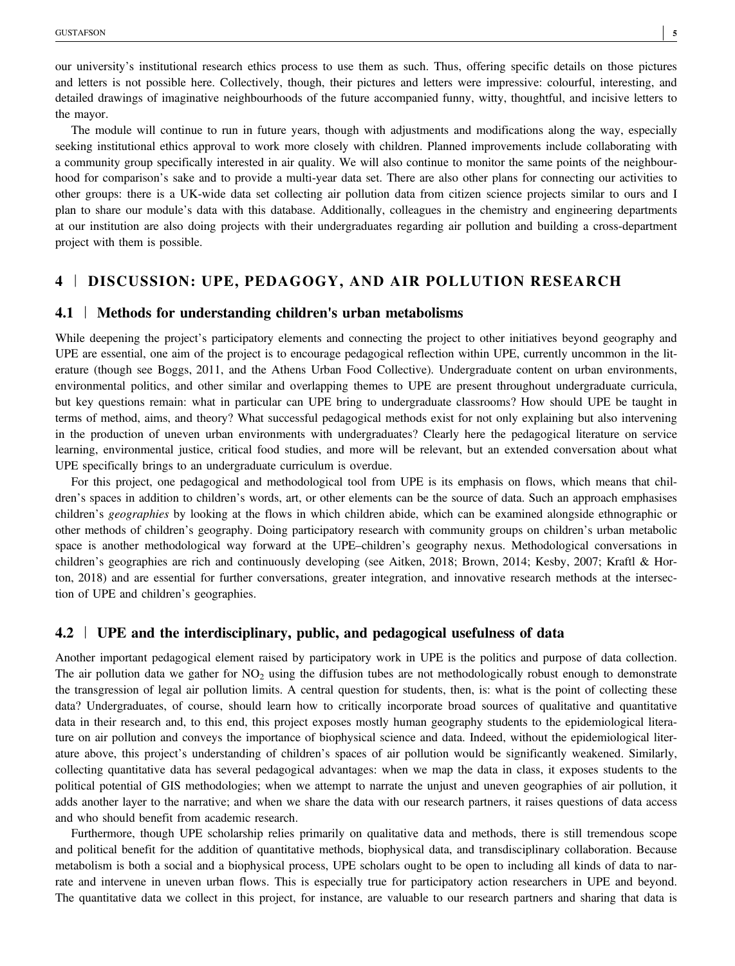our university's institutional research ethics process to use them as such. Thus, offering specific details on those pictures and letters is not possible here. Collectively, though, their pictures and letters were impressive: colourful, interesting, and detailed drawings of imaginative neighbourhoods of the future accompanied funny, witty, thoughtful, and incisive letters to the mayor.

The module will continue to run in future years, though with adjustments and modifications along the way, especially seeking institutional ethics approval to work more closely with children. Planned improvements include collaborating with a community group specifically interested in air quality. We will also continue to monitor the same points of the neighbourhood for comparison's sake and to provide a multi-year data set. There are also other plans for connecting our activities to other groups: there is a UK‐wide data set collecting air pollution data from citizen science projects similar to ours and I plan to share our module's data with this database. Additionally, colleagues in the chemistry and engineering departments at our institution are also doing projects with their undergraduates regarding air pollution and building a cross‐department project with them is possible.

# 4 | DISCUSSION: UPE, PEDAGOGY, AND AIR POLLUTION RESEARCH

#### 4.1 | Methods for understanding children's urban metabolisms

While deepening the project's participatory elements and connecting the project to other initiatives beyond geography and UPE are essential, one aim of the project is to encourage pedagogical reflection within UPE, currently uncommon in the literature (though see Boggs, 2011, and the Athens Urban Food Collective). Undergraduate content on urban environments, environmental politics, and other similar and overlapping themes to UPE are present throughout undergraduate curricula, but key questions remain: what in particular can UPE bring to undergraduate classrooms? How should UPE be taught in terms of method, aims, and theory? What successful pedagogical methods exist for not only explaining but also intervening in the production of uneven urban environments with undergraduates? Clearly here the pedagogical literature on service learning, environmental justice, critical food studies, and more will be relevant, but an extended conversation about what UPE specifically brings to an undergraduate curriculum is overdue.

For this project, one pedagogical and methodological tool from UPE is its emphasis on flows, which means that children's spaces in addition to children's words, art, or other elements can be the source of data. Such an approach emphasises children's geographies by looking at the flows in which children abide, which can be examined alongside ethnographic or other methods of children's geography. Doing participatory research with community groups on children's urban metabolic space is another methodological way forward at the UPE–children's geography nexus. Methodological conversations in children's geographies are rich and continuously developing (see Aitken, 2018; Brown, 2014; Kesby, 2007; Kraftl & Horton, 2018) and are essential for further conversations, greater integration, and innovative research methods at the intersection of UPE and children's geographies.

#### 4.2 | UPE and the interdisciplinary, public, and pedagogical usefulness of data

Another important pedagogical element raised by participatory work in UPE is the politics and purpose of data collection. The air pollution data we gather for  $NO<sub>2</sub>$  using the diffusion tubes are not methodologically robust enough to demonstrate the transgression of legal air pollution limits. A central question for students, then, is: what is the point of collecting these data? Undergraduates, of course, should learn how to critically incorporate broad sources of qualitative and quantitative data in their research and, to this end, this project exposes mostly human geography students to the epidemiological literature on air pollution and conveys the importance of biophysical science and data. Indeed, without the epidemiological literature above, this project's understanding of children's spaces of air pollution would be significantly weakened. Similarly, collecting quantitative data has several pedagogical advantages: when we map the data in class, it exposes students to the political potential of GIS methodologies; when we attempt to narrate the unjust and uneven geographies of air pollution, it adds another layer to the narrative; and when we share the data with our research partners, it raises questions of data access and who should benefit from academic research.

Furthermore, though UPE scholarship relies primarily on qualitative data and methods, there is still tremendous scope and political benefit for the addition of quantitative methods, biophysical data, and transdisciplinary collaboration. Because metabolism is both a social and a biophysical process, UPE scholars ought to be open to including all kinds of data to narrate and intervene in uneven urban flows. This is especially true for participatory action researchers in UPE and beyond. The quantitative data we collect in this project, for instance, are valuable to our research partners and sharing that data is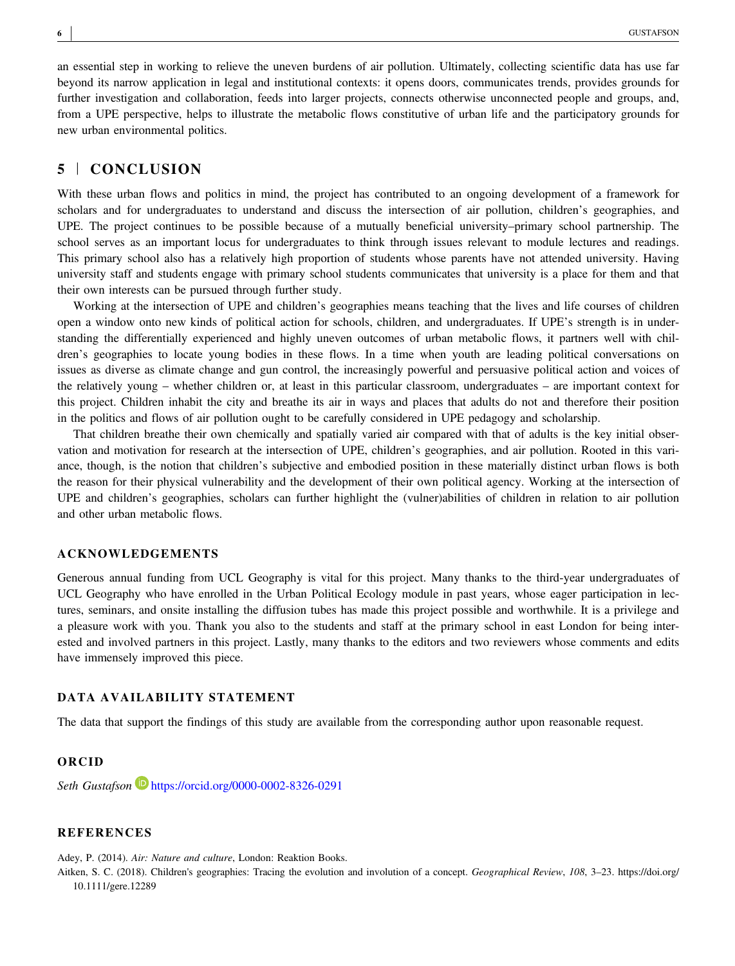an essential step in working to relieve the uneven burdens of air pollution. Ultimately, collecting scientific data has use far beyond its narrow application in legal and institutional contexts: it opens doors, communicates trends, provides grounds for further investigation and collaboration, feeds into larger projects, connects otherwise unconnected people and groups, and, from a UPE perspective, helps to illustrate the metabolic flows constitutive of urban life and the participatory grounds for new urban environmental politics.

## 5 | CONCLUSION

With these urban flows and politics in mind, the project has contributed to an ongoing development of a framework for scholars and for undergraduates to understand and discuss the intersection of air pollution, children's geographies, and UPE. The project continues to be possible because of a mutually beneficial university–primary school partnership. The school serves as an important locus for undergraduates to think through issues relevant to module lectures and readings. This primary school also has a relatively high proportion of students whose parents have not attended university. Having university staff and students engage with primary school students communicates that university is a place for them and that their own interests can be pursued through further study.

Working at the intersection of UPE and children's geographies means teaching that the lives and life courses of children open a window onto new kinds of political action for schools, children, and undergraduates. If UPE's strength is in understanding the differentially experienced and highly uneven outcomes of urban metabolic flows, it partners well with children's geographies to locate young bodies in these flows. In a time when youth are leading political conversations on issues as diverse as climate change and gun control, the increasingly powerful and persuasive political action and voices of the relatively young – whether children or, at least in this particular classroom, undergraduates – are important context for this project. Children inhabit the city and breathe its air in ways and places that adults do not and therefore their position in the politics and flows of air pollution ought to be carefully considered in UPE pedagogy and scholarship.

That children breathe their own chemically and spatially varied air compared with that of adults is the key initial observation and motivation for research at the intersection of UPE, children's geographies, and air pollution. Rooted in this variance, though, is the notion that children's subjective and embodied position in these materially distinct urban flows is both the reason for their physical vulnerability and the development of their own political agency. Working at the intersection of UPE and children's geographies, scholars can further highlight the (vulner)abilities of children in relation to air pollution and other urban metabolic flows.

#### ACKNOWLEDGEMENTS

Generous annual funding from UCL Geography is vital for this project. Many thanks to the third‐year undergraduates of UCL Geography who have enrolled in the Urban Political Ecology module in past years, whose eager participation in lectures, seminars, and onsite installing the diffusion tubes has made this project possible and worthwhile. It is a privilege and a pleasure work with you. Thank you also to the students and staff at the primary school in east London for being interested and involved partners in this project. Lastly, many thanks to the editors and two reviewers whose comments and edits have immensely improved this piece.

#### DATA AVAILABILITY STATEMENT

The data that support the findings of this study are available from the corresponding author upon reasonable request.

#### ORCID

Seth Gustafson https://orcid.org/0000-0002-8326-0291

#### **REFERENCES**

Adey, P. (2014). Air: Nature and culture, London: Reaktion Books.

Aitken, S. C. (2018). Children's geographies: Tracing the evolution and involution of a concept. Geographical Review, 108, 3–23. [https://doi.org/](https://doi.org/10.1111/gere.12289) [10.1111/gere.12289](https://doi.org/10.1111/gere.12289)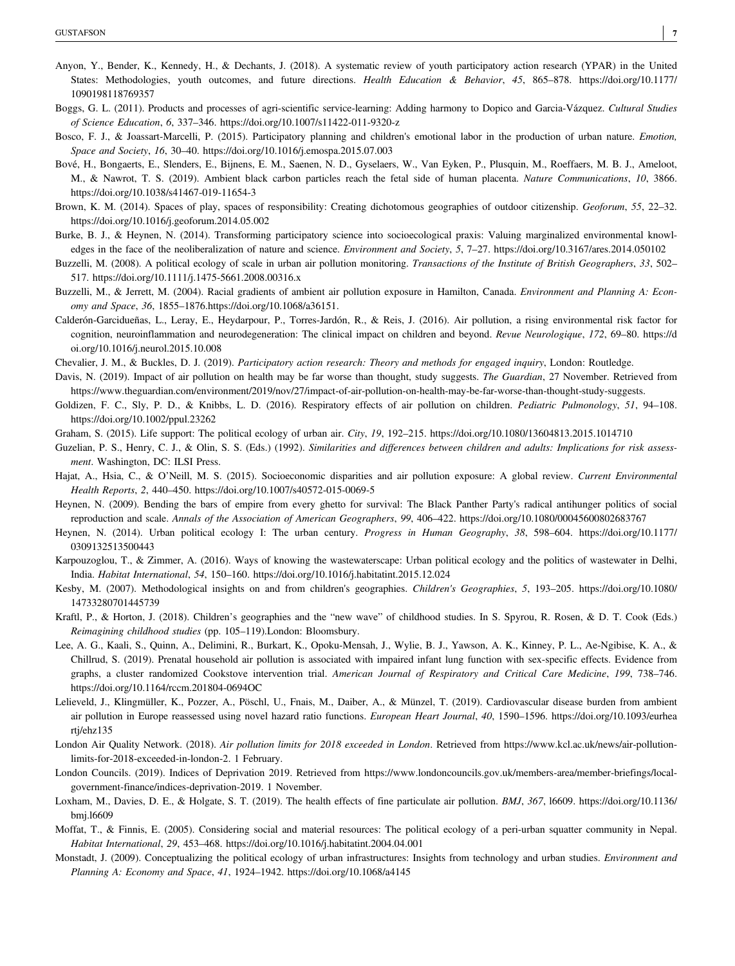- Anyon, Y., Bender, K., Kennedy, H., & Dechants, J. (2018). A systematic review of youth participatory action research (YPAR) in the United States: Methodologies, youth outcomes, and future directions. Health Education & Behavior, 45, 865–878. [https://doi.org/10.1177/](https://doi.org/10.1177/1090198118769357) [1090198118769357](https://doi.org/10.1177/1090198118769357)
- Boggs, G. L. (2011). Products and processes of agri-scientific service-learning: Adding harmony to Dopico and Garcia-Vázquez. Cultural Studies of Science Education, 6, 337–346. [https://doi.org/10.1007/s11422](https://doi.org/10.1007/s11422-011-9320-z)‐011‐9320‐z
- Bosco, F. J., & Joassart-Marcelli, P. (2015). Participatory planning and children's emotional labor in the production of urban nature. *Emotion*, Space and Society, 16, 30–40.<https://doi.org/10.1016/j.emospa.2015.07.003>
- Bové, H., Bongaerts, E., Slenders, E., Bijnens, E. M., Saenen, N. D., Gyselaers, W., Van Eyken, P., Plusquin, M., Roeffaers, M. B. J., Ameloot, M., & Nawrot, T. S. (2019). Ambient black carbon particles reach the fetal side of human placenta. Nature Communications, 10, 3866. [https://doi.org/10.1038/s41467](https://doi.org/10.1038/s41467-019-11654-3)‐019‐11654‐3
- Brown, K. M. (2014). Spaces of play, spaces of responsibility: Creating dichotomous geographies of outdoor citizenship. Geoforum, 55, 22–32. <https://doi.org/10.1016/j.geoforum.2014.05.002>
- Burke, B. J., & Heynen, N. (2014). Transforming participatory science into socioecological praxis: Valuing marginalized environmental knowledges in the face of the neoliberalization of nature and science. *Environment and Society*, 5, 7–27.<https://doi.org/10.3167/ares.2014.050102>
- Buzzelli, M. (2008). A political ecology of scale in urban air pollution monitoring. Transactions of the Institute of British Geographers, 33, 502– 517. [https://doi.org/10.1111/j.1475](https://doi.org/10.1111/j.1475-5661.2008.00316.x)‐5661.2008.00316.x
- Buzzelli, M., & Jerrett, M. (2004). Racial gradients of ambient air pollution exposure in Hamilton, Canada. Environment and Planning A: Economy and Space, 36, 1855–1876[.https://doi.org/10.1068/a36151.](https://doi.org/10.1068/a36151)
- Calderón‐Garcidueñas, L., Leray, E., Heydarpour, P., Torres‐Jardón, R., & Reis, J. (2016). Air pollution, a rising environmental risk factor for cognition, neuroinflammation and neurodegeneration: The clinical impact on children and beyond. Revue Neurologique, 172, 69–80. [https://d](https://doi.org/10.1016/j.neurol.2015.10.008) [oi.org/10.1016/j.neurol.2015.10.008](https://doi.org/10.1016/j.neurol.2015.10.008)
- Chevalier, J. M., & Buckles, D. J. (2019). Participatory action research: Theory and methods for engaged inquiry, London: Routledge.
- Davis, N. (2019). Impact of air pollution on health may be far worse than thought, study suggests. The Guardian, 27 November. Retrieved from [https://www.theguardian.com/environment/2019/nov/27/impact](https://www.theguardian.com/environment/2019/nov/27/impact-of-air-pollution-on-health-may-be-far-worse-than-thought-study-suggests)-of-air-pollution-on-health-may-be-far-worse-than-thought-study-suggests.
- Goldizen, F. C., Sly, P. D., & Knibbs, L. D. (2016). Respiratory effects of air pollution on children. *Pediatric Pulmonology*, 51, 94–108. <https://doi.org/10.1002/ppul.23262>
- Graham, S. (2015). Life support: The political ecology of urban air. City, 19, 192–215.<https://doi.org/10.1080/13604813.2015.1014710>
- Guzelian, P. S., Henry, C. J., & Olin, S. S. (Eds.) (1992). Similarities and differences between children and adults: Implications for risk assessment. Washington, DC: ILSI Press.
- Hajat, A., Hsia, C., & O'Neill, M. S. (2015). Socioeconomic disparities and air pollution exposure: A global review. Current Environmental Health Reports, 2, 440–450. [https://doi.org/10.1007/s40572](https://doi.org/10.1007/s40572-015-0069-5)‐015‐0069‐5
- Heynen, N. (2009). Bending the bars of empire from every ghetto for survival: The Black Panther Party's radical antihunger politics of social reproduction and scale. Annals of the Association of American Geographers, 99, 406–422.<https://doi.org/10.1080/00045600802683767>
- Heynen, N. (2014). Urban political ecology I: The urban century. Progress in Human Geography, 38, 598–604. [https://doi.org/10.1177/](https://doi.org/10.1177/0309132513500443) [0309132513500443](https://doi.org/10.1177/0309132513500443)
- Karpouzoglou, T., & Zimmer, A. (2016). Ways of knowing the wastewaterscape: Urban political ecology and the politics of wastewater in Delhi, India. Habitat International, 54, 150–160.<https://doi.org/10.1016/j.habitatint.2015.12.024>
- Kesby, M. (2007). Methodological insights on and from children's geographies. Children's Geographies, 5, 193–205. [https://doi.org/10.1080/](https://doi.org/10.1080/14733280701445739) [14733280701445739](https://doi.org/10.1080/14733280701445739)
- Kraftl, P., & Horton, J. (2018). Children's geographies and the "new wave" of childhood studies. In S. Spyrou, R. Rosen, & D. T. Cook (Eds.) Reimagining childhood studies (pp. 105–119).London: Bloomsbury.
- Lee, A. G., Kaali, S., Quinn, A., Delimini, R., Burkart, K., Opoku‐Mensah, J., Wylie, B. J., Yawson, A. K., Kinney, P. L., Ae‐Ngibise, K. A., & Chillrud, S. (2019). Prenatal household air pollution is associated with impaired infant lung function with sex‐specific effects. Evidence from graphs, a cluster randomized Cookstove intervention trial. American Journal of Respiratory and Critical Care Medicine, 199, 738-746. [https://doi.org/10.1164/rccm.201804](https://doi.org/10.1164/rccm.201804-0694OC)‐0694OC
- Lelieveld, J., Klingmüller, K., Pozzer, A., Pöschl, U., Fnais, M., Daiber, A., & Münzel, T. (2019). Cardiovascular disease burden from ambient air pollution in Europe reassessed using novel hazard ratio functions. European Heart Journal, 40, 1590-1596. [https://doi.org/10.1093/eurhea](https://doi.org/10.1093/eurheartj/ehz135) [rtj/ehz135](https://doi.org/10.1093/eurheartj/ehz135)
- London Air Quality Network. (2018). Air pollution limits for 2018 exceeded in London. Retrieved from [https://www.kcl.ac.uk/news/air](https://www.kcl.ac.uk/news/air-pollution-limits-for-2018-exceeded-in-london-2)-pollutionlimits‐for‐2018‐[exceeded](https://www.kcl.ac.uk/news/air-pollution-limits-for-2018-exceeded-in-london-2)‐in‐london‐2. 1 February.
- London Councils. (2019). Indices of Deprivation 2019. Retrieved from [https://www.londoncouncils.gov.uk/members](https://www.londoncouncils.gov.uk/members-area/member-briefings/local-government-finance/indices-deprivation-2019)-area/member-briefings/localgovernment‐[finance/indices](https://www.londoncouncils.gov.uk/members-area/member-briefings/local-government-finance/indices-deprivation-2019)‐deprivation‐2019. 1 November.
- Loxham, M., Davies, D. E., & Holgate, S. T. (2019). The health effects of fine particulate air pollution. BMJ, 367, l6609. [https://doi.org/10.1136/](https://doi.org/10.1136/bmj.l6609) [bmj.l6609](https://doi.org/10.1136/bmj.l6609)
- Moffat, T., & Finnis, E. (2005). Considering social and material resources: The political ecology of a peri‐urban squatter community in Nepal. Habitat International, 29, 453–468.<https://doi.org/10.1016/j.habitatint.2004.04.001>
- Monstadt, J. (2009). Conceptualizing the political ecology of urban infrastructures: Insights from technology and urban studies. Environment and Planning A: Economy and Space, 41, 1924–1942.<https://doi.org/10.1068/a4145>